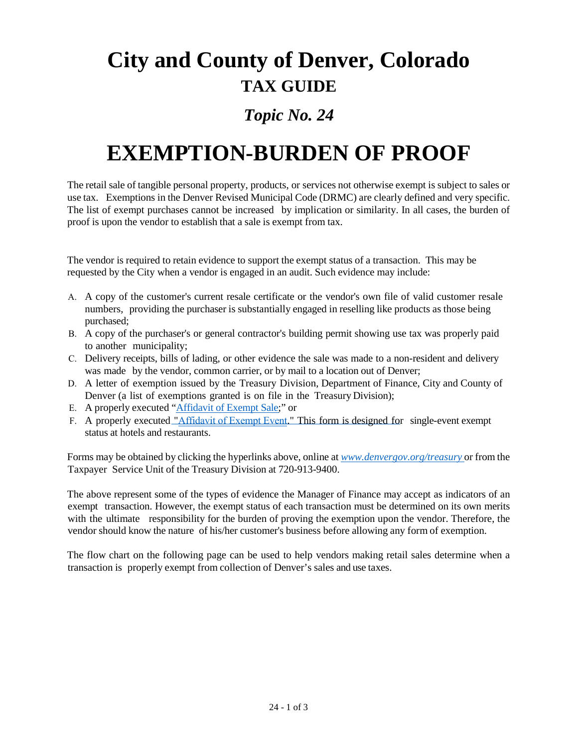# **City and County of Denver, Colorado TAX GUIDE**

## *Topic No. 24*

# **EXEMPTION-BURDEN OF PROOF**

The retail sale of tangible personal property, products, or services not otherwise exempt is subject to sales or use tax. Exemptions in the Denver Revised Municipal Code (DRMC) are clearly defined and very specific. The list of exempt purchases cannot be increased by implication or similarity. In all cases, the burden of proof is upon the vendor to establish that a sale is exempt from tax.

The vendor is required to retain evidence to support the exempt status of a transaction. This may be requested by the City when a vendor is engaged in an audit. Such evidence may include:

- A. A copy of the customer's current resale certificate or the vendor's own file of valid customer resale numbers, providing the purchaser is substantially engaged in reselling like products as those being purchased;
- B. A copy of the purchaser's or general contractor's building permit showing use tax was properly paid to another municipality;
- C. Delivery receipts, bills of lading, or other evidence the sale was made to a non-resident and delivery was made by the vendor, common carrier, or by mail to a location out of Denver;
- D. A letter of exemption issued by the Treasury Division, Department of Finance, City and County of Denver (a list of exemptions granted is on file in the Treasury Division);
- E. A properly executed "Affidavit [of Exempt](https://www.denvergov.org/content/dam/denvergov/Portals/571/documents/Affidavits/Affidavit_of_Exempt_Sale_Standard.pdf) Sa[le;"](https://www.denvergov.org/content/dam/denvergov/Portals/571/documents/Standard%20Affidavit%20of%20Exempt%20Sale.pdf) or
- F. A properly executed "[Affidavit of Exempt Event](https://www.denvergov.org/content/dam/denvergov/Portals/571/documents/Affidavits/Affidavit_of_Exempt_Event.pdf)." This form is designed for single-event exempt status at hotels and restaurants.

Forms may be obtained by clicking the hyperlinks above, online at *[www.denvergov.org/treasury](http://www.denvergov.org/treasury)* or from the Taxpayer Service Unit of the Treasury Division at 720-913-9400.

The above represent some of the types of evidence the Manager of Finance may accept as indicators of an exempt transaction. However, the exempt status of each transaction must be determined on its own merits with the ultimate responsibility for the burden of proving the exemption upon the vendor. Therefore, the vendor should know the nature of his/her customer's business before allowing any form of exemption.

The flow chart on the following page can be used to help vendors making retail sales determine when a transaction is properly exempt from collection of Denver's sales and use taxes.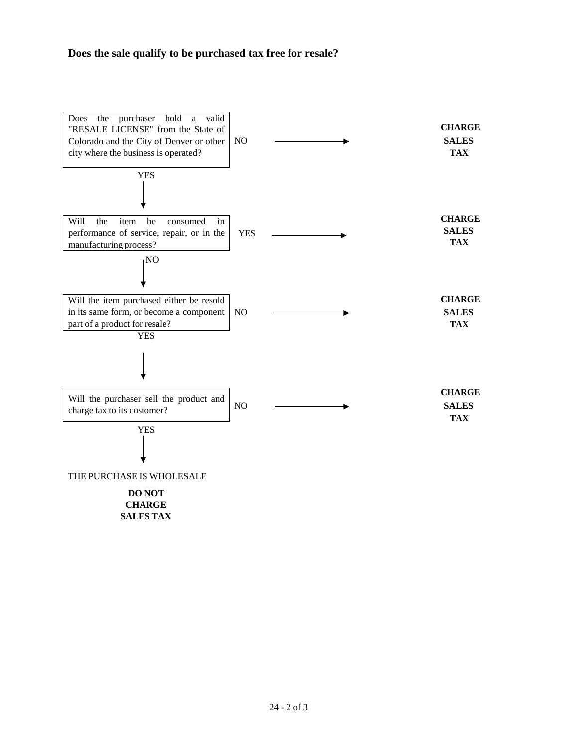### **Does the sale qualify to be purchased tax free for resale?**